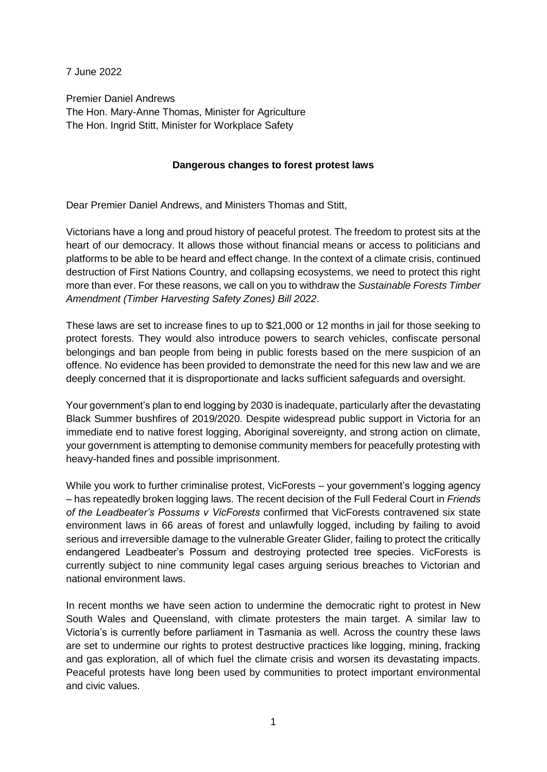7 June 2022

Premier Daniel Andrews The Hon. Mary-Anne Thomas, Minister for Agriculture The Hon. Ingrid Stitt, Minister for Workplace Safety

## **Dangerous changes to forest protest laws**

Dear Premier Daniel Andrews, and Ministers Thomas and Stitt,

Victorians have a long and proud history of peaceful protest. The freedom to protest sits at the heart of our democracy. It allows those without financial means or access to politicians and platforms to be able to be heard and effect change. In the context of a climate crisis, continued destruction of First Nations Country, and collapsing ecosystems, we need to protect this right more than ever. For these reasons, we call on you to withdraw the *Sustainable Forests Timber Amendment (Timber Harvesting Safety Zones) Bill 2022*.

These laws are set to increase fines to up to \$21,000 or 12 months in jail for those seeking to protect forests. They would also introduce powers to search vehicles, confiscate personal belongings and ban people from being in public forests based on the mere suspicion of an offence. No evidence has been provided to demonstrate the need for this new law and we are deeply concerned that it is disproportionate and lacks sufficient safeguards and oversight.

Your government's plan to end logging by 2030 is inadequate, particularly after the devastating Black Summer bushfires of 2019/2020. Despite widespread public support in Victoria for an immediate end to native forest logging, Aboriginal sovereignty, and strong action on climate, your government is attempting to demonise community members for peacefully protesting with heavy-handed fines and possible imprisonment.

While you work to further criminalise protest, VicForests – your government's logging agency – has repeatedly broken logging laws. The recent decision of the Full Federal Court in *Friends of the Leadbeater's Possums v VicForests* confirmed that VicForests contravened six state environment laws in 66 areas of forest and unlawfully logged, including by failing to avoid serious and irreversible damage to the vulnerable Greater Glider, failing to protect the critically endangered Leadbeater's Possum and destroying protected tree species. VicForests is currently subject to nine community legal cases arguing serious breaches to Victorian and national environment laws.

In recent months we have seen action to undermine the democratic right to protest in New South Wales and Queensland, with climate protesters the main target. A similar law to Victoria's is currently before parliament in Tasmania as well. Across the country these laws are set to undermine our rights to protest destructive practices like logging, mining, fracking and gas exploration, all of which fuel the climate crisis and worsen its devastating impacts. Peaceful protests have long been used by communities to protect important environmental and civic values.